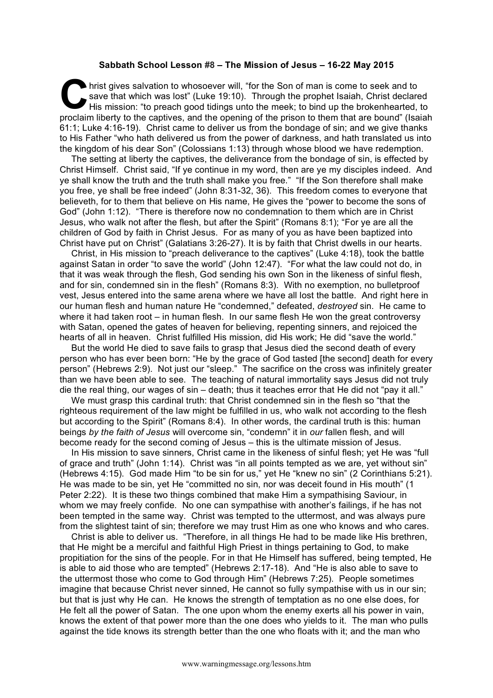## **Sabbath School Lesson #8 – The Mission of Jesus – 16-22 May 2015**

hrist gives salvation to whosoever will, "for the Son of man is come to seek and to save that which was lost" (Luke 19:10). Through the prophet Isaiah, Christ declared His mission: "to preach good tidings unto the meek; to bind up the brokenhearted, to proclaim liberty to the captives, and the opening of the prison to them that are bound" (Isaiah 61:1; Luke 4:16-19). Christ came to deliver us from the bondage of sin; and we give thanks to His Father "who hath delivered us from the power of darkness, and hath translated us into the kingdom of his dear Son" (Colossians 1:13) through whose blood we have redemption. C hris<br>His

The setting at liberty the captives, the deliverance from the bondage of sin, is effected by Christ Himself. Christ said, "If ye continue in my word, then are ye my disciples indeed. And ye shall know the truth and the truth shall make you free." "If the Son therefore shall make you free, ye shall be free indeed" (John 8:31-32, 36). This freedom comes to everyone that believeth, for to them that believe on His name, He gives the "power to become the sons of God" (John 1:12). "There is therefore now no condemnation to them which are in Christ Jesus, who walk not after the flesh, but after the Spirit" (Romans 8:1); "For ye are all the children of God by faith in Christ Jesus. For as many of you as have been baptized into Christ have put on Christ" (Galatians 3:26-27). It is by faith that Christ dwells in our hearts.

Christ, in His mission to "preach deliverance to the captives" (Luke 4:18), took the battle against Satan in order "to save the world" (John 12:47). "For what the law could not do, in that it was weak through the flesh, God sending his own Son in the likeness of sinful flesh, and for sin, condemned sin in the flesh" (Romans 8:3). With no exemption, no bulletproof vest, Jesus entered into the same arena where we have all lost the battle. And right here in our human flesh and human nature He "condemned," defeated, *destroyed* sin. He came to where it had taken root – in human flesh. In our same flesh He won the great controversy with Satan, opened the gates of heaven for believing, repenting sinners, and rejoiced the hearts of all in heaven. Christ fulfilled His mission, did His work; He did "save the world."

But the world He died to save fails to grasp that Jesus died the second death of every person who has ever been born: "He by the grace of God tasted [the second] death for every person" (Hebrews 2:9). Not just our "sleep." The sacrifice on the cross was infinitely greater than we have been able to see. The teaching of natural immortality says Jesus did not truly die the real thing, our wages of sin – death; thus it teaches error that He did not "pay it all."

We must grasp this cardinal truth: that Christ condemned sin in the flesh so "that the righteous requirement of the law might be fulfilled in us, who walk not according to the flesh but according to the Spirit" (Romans 8:4). In other words, the cardinal truth is this: human beings *by the faith of Jesus* will overcome sin, "condemn" it in *our* fallen flesh, and will become ready for the second coming of Jesus – this is the ultimate mission of Jesus.

In His mission to save sinners, Christ came in the likeness of sinful flesh; yet He was "full of grace and truth" (John 1:14). Christ was "in all points tempted as we are, yet without sin" (Hebrews 4:15). God made Him "to be sin for us," yet He "knew no sin" (2 Corinthians 5:21). He was made to be sin, yet He "committed no sin, nor was deceit found in His mouth" (1 Peter 2:22). It is these two things combined that make Him a sympathising Saviour, in whom we may freely confide. No one can sympathise with another's failings, if he has not been tempted in the same way. Christ was tempted to the uttermost, and was always pure from the slightest taint of sin; therefore we may trust Him as one who knows and who cares.

Christ is able to deliver us. "Therefore, in all things He had to be made like His brethren, that He might be a merciful and faithful High Priest in things pertaining to God, to make propitiation for the sins of the people. For in that He Himself has suffered, being tempted, He is able to aid those who are tempted" (Hebrews 2:17-18). And "He is also able to save to the uttermost those who come to God through Him" (Hebrews 7:25). People sometimes imagine that because Christ never sinned, He cannot so fully sympathise with us in our sin; but that is just why He can. He knows the strength of temptation as no one else does, for He felt all the power of Satan. The one upon whom the enemy exerts all his power in vain, knows the extent of that power more than the one does who yields to it. The man who pulls against the tide knows its strength better than the one who floats with it; and the man who